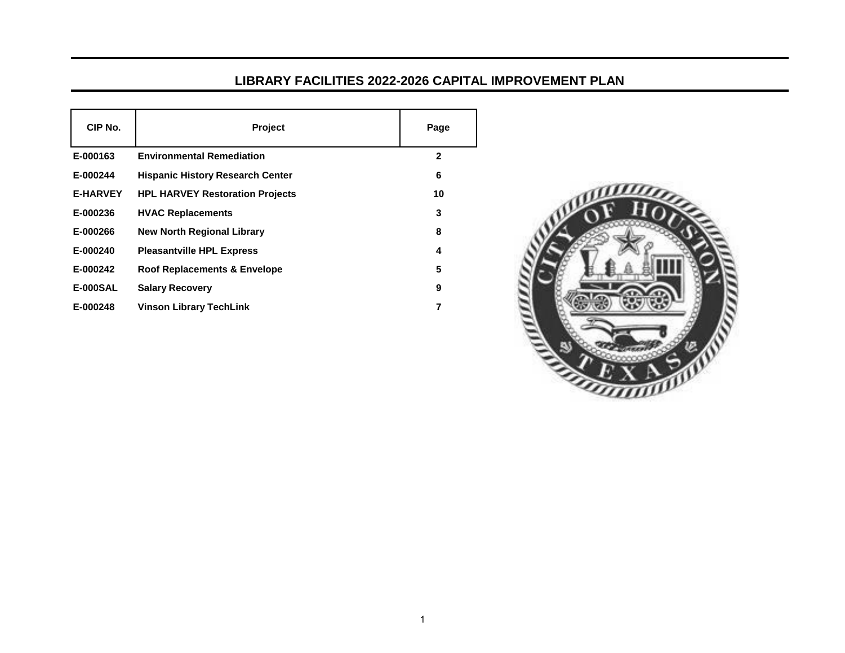## **LIBRARY FACILITIES 2022-2026 CAPITAL IMPROVEMENT PLAN**

| CIP No.         | <b>Project</b>                          | Page         |
|-----------------|-----------------------------------------|--------------|
| E-000163        | <b>Environmental Remediation</b>        | $\mathbf{2}$ |
| E-000244        | <b>Hispanic History Research Center</b> | 6            |
| <b>E-HARVEY</b> | <b>HPL HARVEY Restoration Projects</b>  | 10           |
| E-000236        | <b>HVAC Replacements</b>                | 3            |
| E-000266        | <b>New North Regional Library</b>       | 8            |
| E-000240        | <b>Pleasantville HPL Express</b>        | 4            |
| E-000242        | Roof Replacements & Envelope            | 5            |
| <b>E-000SAL</b> | <b>Salary Recovery</b>                  | 9            |
| E-000248        | <b>Vinson Library TechLink</b>          | 7            |

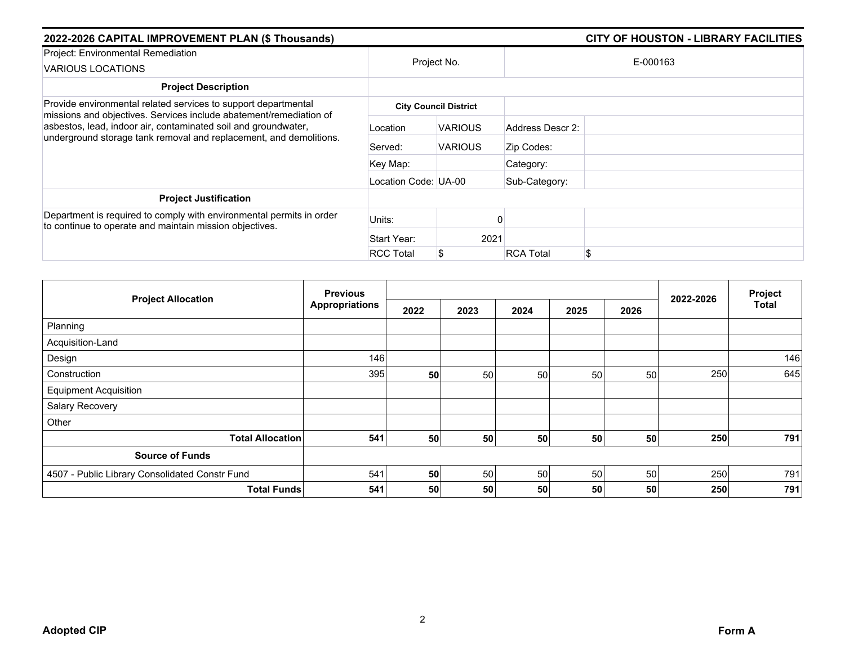| 2022-2026 CAPITAL IMPROVEMENT PLAN (\$ Thousands)                                                                                                                                                                                                                            | <b>CITY OF HOUSTON - LIBRARY FACILITIES</b> |                              |                  |          |
|------------------------------------------------------------------------------------------------------------------------------------------------------------------------------------------------------------------------------------------------------------------------------|---------------------------------------------|------------------------------|------------------|----------|
| Project: Environmental Remediation<br>VARIOUS LOCATIONS                                                                                                                                                                                                                      | Project No.                                 |                              |                  | E-000163 |
| <b>Project Description</b>                                                                                                                                                                                                                                                   |                                             |                              |                  |          |
| Provide environmental related services to support departmental<br>missions and objectives. Services include abatement/remediation of<br>asbestos, lead, indoor air, contaminated soil and groundwater,<br>underground storage tank removal and replacement, and demolitions. |                                             | <b>City Council District</b> |                  |          |
|                                                                                                                                                                                                                                                                              | Location                                    | <b>VARIOUS</b>               | Address Descr 2: |          |
|                                                                                                                                                                                                                                                                              | Served:                                     | <b>VARIOUS</b>               | Zip Codes:       |          |
|                                                                                                                                                                                                                                                                              | Key Map:                                    |                              | Category:        |          |
|                                                                                                                                                                                                                                                                              | Location Code: UA-00                        |                              | Sub-Category:    |          |
| <b>Project Justification</b>                                                                                                                                                                                                                                                 |                                             |                              |                  |          |
| Department is required to comply with environmental permits in order<br>to continue to operate and maintain mission objectives.                                                                                                                                              | Units:                                      |                              |                  |          |
|                                                                                                                                                                                                                                                                              | Start Year:                                 | 2021                         |                  |          |
|                                                                                                                                                                                                                                                                              | <b>RCC Total</b>                            |                              | <b>RCA Total</b> | \$       |

|                                                | <b>Previous</b>       |      |      |      |      |      |           | Project      |
|------------------------------------------------|-----------------------|------|------|------|------|------|-----------|--------------|
| <b>Project Allocation</b>                      | <b>Appropriations</b> | 2022 | 2023 | 2024 | 2025 | 2026 | 2022-2026 | <b>Total</b> |
| Planning                                       |                       |      |      |      |      |      |           |              |
| Acquisition-Land                               |                       |      |      |      |      |      |           |              |
| Design                                         | 146                   |      |      |      |      |      |           | 146          |
| Construction                                   | 395                   | 50   | 50   | 50   | 50   | 50   | 250       | 645          |
| <b>Equipment Acquisition</b>                   |                       |      |      |      |      |      |           |              |
| Salary Recovery                                |                       |      |      |      |      |      |           |              |
| Other                                          |                       |      |      |      |      |      |           |              |
| <b>Total Allocation</b>                        | 541                   | 50   | 50   | 50   | 50   | 50   | 250       | 791          |
| <b>Source of Funds</b>                         |                       |      |      |      |      |      |           |              |
| 4507 - Public Library Consolidated Constr Fund | 541                   | 50   | 50   | 50   | 50   | 50   | 250       | 791          |
| <b>Total Funds</b>                             | 541                   | 50   | 50   | 50   | 50   | 50   | 250       | 791          |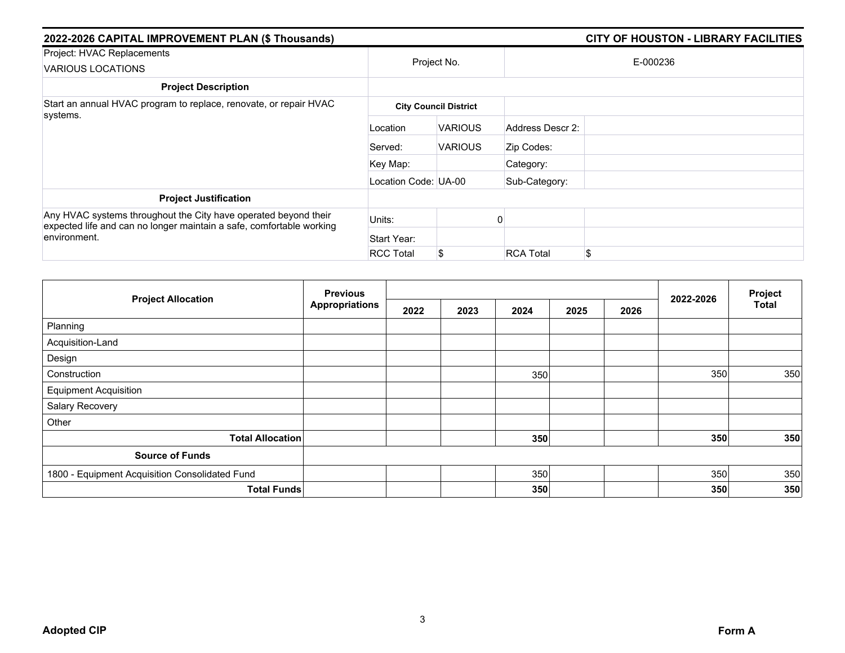| 2022-2026 CAPITAL IMPROVEMENT PLAN (\$ Thousands)                                                                                                       |                      | <b>CITY OF HOUSTON - LIBRARY FACILITIES</b> |                  |          |  |  |  |
|---------------------------------------------------------------------------------------------------------------------------------------------------------|----------------------|---------------------------------------------|------------------|----------|--|--|--|
| Project: HVAC Replacements<br><b>VARIOUS LOCATIONS</b>                                                                                                  | Project No.          |                                             |                  | E-000236 |  |  |  |
| <b>Project Description</b>                                                                                                                              |                      |                                             |                  |          |  |  |  |
| Start an annual HVAC program to replace, renovate, or repair HVAC                                                                                       |                      | <b>City Council District</b>                |                  |          |  |  |  |
| systems.                                                                                                                                                | Location             | <b>VARIOUS</b>                              | Address Descr 2: |          |  |  |  |
|                                                                                                                                                         | Served:              | <b>VARIOUS</b>                              | Zip Codes:       |          |  |  |  |
|                                                                                                                                                         | Key Map:             |                                             | Category:        |          |  |  |  |
|                                                                                                                                                         | Location Code: UA-00 |                                             | Sub-Category:    |          |  |  |  |
| <b>Project Justification</b>                                                                                                                            |                      |                                             |                  |          |  |  |  |
| Any HVAC systems throughout the City have operated beyond their<br>expected life and can no longer maintain a safe, comfortable working<br>environment. | Units:               |                                             |                  |          |  |  |  |
|                                                                                                                                                         | Start Year:          |                                             |                  |          |  |  |  |
|                                                                                                                                                         | <b>RCC Total</b>     | \$                                          | <b>RCA Total</b> | \$       |  |  |  |

|                                                | <b>Previous</b>       |      |      |      |      |      |           | Project      |
|------------------------------------------------|-----------------------|------|------|------|------|------|-----------|--------------|
| <b>Project Allocation</b>                      | <b>Appropriations</b> | 2022 | 2023 | 2024 | 2025 | 2026 | 2022-2026 | <b>Total</b> |
| Planning                                       |                       |      |      |      |      |      |           |              |
| Acquisition-Land                               |                       |      |      |      |      |      |           |              |
| Design                                         |                       |      |      |      |      |      |           |              |
| Construction                                   |                       |      |      | 350  |      |      | 350       | 350          |
| <b>Equipment Acquisition</b>                   |                       |      |      |      |      |      |           |              |
| Salary Recovery                                |                       |      |      |      |      |      |           |              |
| Other                                          |                       |      |      |      |      |      |           |              |
| <b>Total Allocation</b>                        |                       |      |      | 350  |      |      | 350       | 350          |
| <b>Source of Funds</b>                         |                       |      |      |      |      |      |           |              |
| 1800 - Equipment Acquisition Consolidated Fund |                       |      |      | 350  |      |      | 350       | 350          |
| <b>Total Funds</b>                             |                       |      |      | 350  |      |      | 350       | 350          |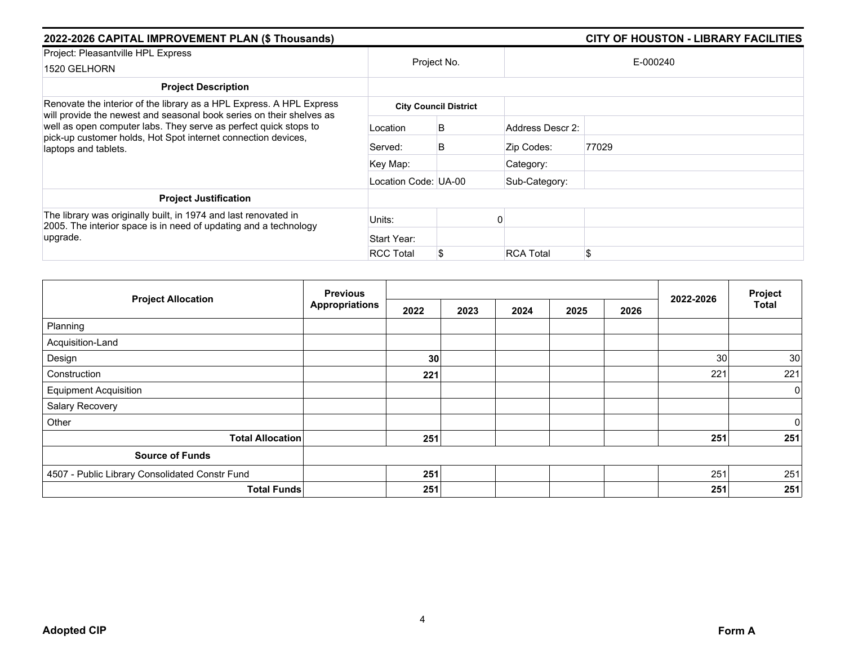| 2022-2026 CAPITAL IMPROVEMENT PLAN (\$ Thousands)                                                                                                                                                                                                                                                         |                      | <b>CITY OF HOUSTON - LIBRARY FACILITIES</b> |                  |       |  |  |
|-----------------------------------------------------------------------------------------------------------------------------------------------------------------------------------------------------------------------------------------------------------------------------------------------------------|----------------------|---------------------------------------------|------------------|-------|--|--|
| Project: Pleasantville HPL Express<br>1520 GELHORN                                                                                                                                                                                                                                                        | Project No.          |                                             | E-000240         |       |  |  |
| <b>Project Description</b>                                                                                                                                                                                                                                                                                |                      |                                             |                  |       |  |  |
| Renovate the interior of the library as a HPL Express. A HPL Express<br>will provide the newest and seasonal book series on their shelves as<br>well as open computer labs. They serve as perfect quick stops to<br>pick-up customer holds, Hot Spot internet connection devices,<br>laptops and tablets. |                      | <b>City Council District</b>                |                  |       |  |  |
|                                                                                                                                                                                                                                                                                                           | Location             | B                                           | Address Descr 2: |       |  |  |
|                                                                                                                                                                                                                                                                                                           | Served:              | B                                           | Zip Codes:       | 77029 |  |  |
|                                                                                                                                                                                                                                                                                                           | Key Map:             |                                             | Category:        |       |  |  |
|                                                                                                                                                                                                                                                                                                           | Location Code: UA-00 |                                             | Sub-Category:    |       |  |  |
| <b>Project Justification</b>                                                                                                                                                                                                                                                                              |                      |                                             |                  |       |  |  |
| The library was originally built, in 1974 and last renovated in<br>2005. The interior space is in need of updating and a technology<br>upgrade.                                                                                                                                                           | Units:               |                                             |                  |       |  |  |
|                                                                                                                                                                                                                                                                                                           | Start Year:          |                                             |                  |       |  |  |
|                                                                                                                                                                                                                                                                                                           | <b>RCC Total</b>     |                                             | <b>RCA Total</b> |       |  |  |

|                                                | <b>Previous</b>       |      |      |      |      |      | 2022-2026 | Project        |
|------------------------------------------------|-----------------------|------|------|------|------|------|-----------|----------------|
| <b>Project Allocation</b>                      | <b>Appropriations</b> | 2022 | 2023 | 2024 | 2025 | 2026 |           | <b>Total</b>   |
| Planning                                       |                       |      |      |      |      |      |           |                |
| Acquisition-Land                               |                       |      |      |      |      |      |           |                |
| Design                                         |                       | 30   |      |      |      |      | 30        | 30             |
| Construction                                   |                       | 221  |      |      |      |      | 221       | 221            |
| <b>Equipment Acquisition</b>                   |                       |      |      |      |      |      |           | $\overline{0}$ |
| Salary Recovery                                |                       |      |      |      |      |      |           |                |
| Other                                          |                       |      |      |      |      |      |           | $\overline{0}$ |
| <b>Total Allocation</b>                        |                       | 251  |      |      |      |      | 251       | 251            |
| <b>Source of Funds</b>                         |                       |      |      |      |      |      |           |                |
| 4507 - Public Library Consolidated Constr Fund |                       | 251  |      |      |      |      | 251       | 251            |
| <b>Total Funds</b>                             |                       | 251  |      |      |      |      | 251       | 251            |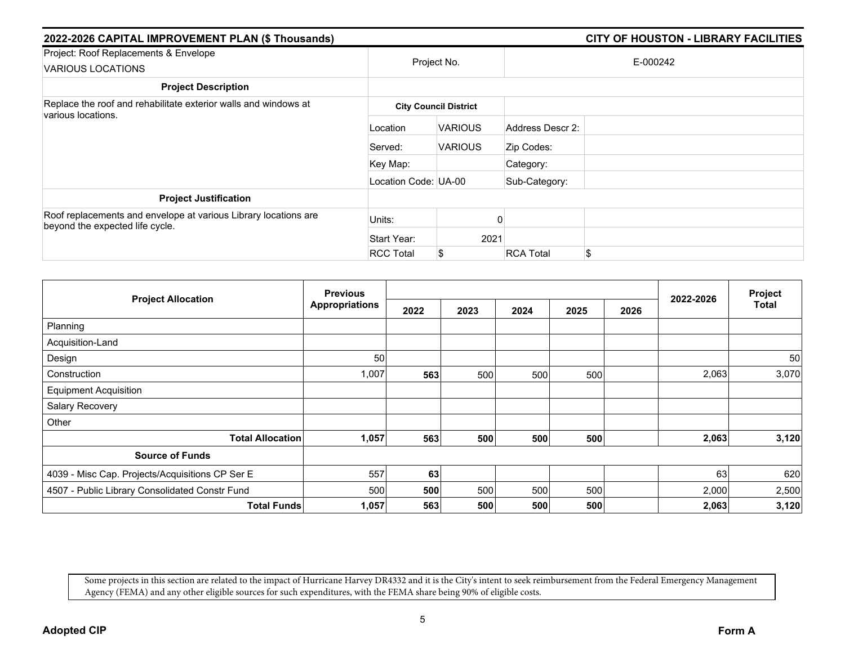| 2022-2026 CAPITAL IMPROVEMENT PLAN (\$ Thousands)                                                  |                      |                              |                  | <b>CITY OF HOUSTON - LIBRARY FACILITIES</b> |  |
|----------------------------------------------------------------------------------------------------|----------------------|------------------------------|------------------|---------------------------------------------|--|
| Project: Roof Replacements & Envelope                                                              | Project No.          |                              | E-000242         |                                             |  |
| <b>VARIOUS LOCATIONS</b>                                                                           |                      |                              |                  |                                             |  |
| <b>Project Description</b>                                                                         |                      |                              |                  |                                             |  |
| Replace the roof and rehabilitate exterior walls and windows at<br>various locations.              |                      | <b>City Council District</b> |                  |                                             |  |
|                                                                                                    | Location             | <b>VARIOUS</b>               | Address Descr 2: |                                             |  |
|                                                                                                    | Served:              | <b>VARIOUS</b>               | Zip Codes:       |                                             |  |
|                                                                                                    | Key Map:             |                              | Category:        |                                             |  |
|                                                                                                    | Location Code: UA-00 |                              | Sub-Category:    |                                             |  |
| <b>Project Justification</b>                                                                       |                      |                              |                  |                                             |  |
| Roof replacements and envelope at various Library locations are<br>beyond the expected life cycle. | Units:               |                              |                  |                                             |  |
|                                                                                                    | Start Year:          | 2021                         |                  |                                             |  |
|                                                                                                    | <b>RCC Total</b>     | \$                           | <b>RCA Total</b> | \$.                                         |  |

|                                                 | <b>Previous</b>       |      |      |      |      |      | 2022-2026 | Project<br>Total |
|-------------------------------------------------|-----------------------|------|------|------|------|------|-----------|------------------|
| <b>Project Allocation</b>                       | <b>Appropriations</b> | 2022 | 2023 | 2024 | 2025 | 2026 |           |                  |
| Planning                                        |                       |      |      |      |      |      |           |                  |
| Acquisition-Land                                |                       |      |      |      |      |      |           |                  |
| Design                                          | 50                    |      |      |      |      |      |           | 50               |
| Construction                                    | 1,007                 | 563  | 500  | 500  | 500  |      | 2,063     | 3,070            |
| <b>Equipment Acquisition</b>                    |                       |      |      |      |      |      |           |                  |
| Salary Recovery                                 |                       |      |      |      |      |      |           |                  |
| Other                                           |                       |      |      |      |      |      |           |                  |
| <b>Total Allocation</b>                         | 1,057                 | 563  | 500  | 500  | 500  |      | 2,063     | 3,120            |
| <b>Source of Funds</b>                          |                       |      |      |      |      |      |           |                  |
| 4039 - Misc Cap. Projects/Acquisitions CP Ser E | 557                   | 63   |      |      |      |      | 63        | 620              |
| 4507 - Public Library Consolidated Constr Fund  | 500                   | 500  | 500  | 500  | 500  |      | 2,000     | 2,500            |
| <b>Total Funds</b>                              | 1,057                 | 563  | 500  | 500  | 500  |      | 2,063     | 3,120            |

Some projects in this section are related to the impact of Hurricane Harvey DR4332 and it is the City's intent to seek reimbursement from the Federal Emergency Management Agency (FEMA) and any other eligible sources for such expenditures, with the FEMA share being 90% of eligible costs.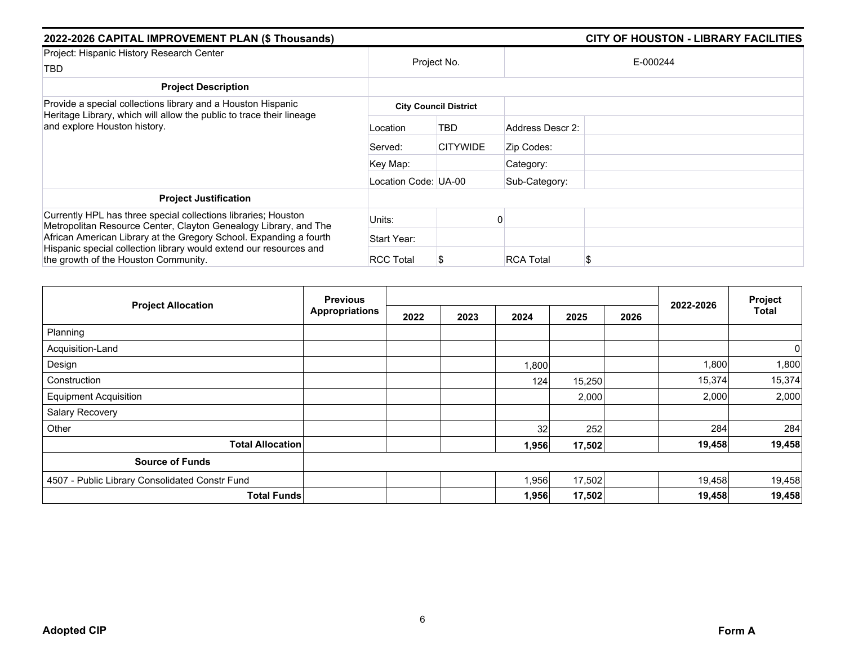| 2022-2026 CAPITAL IMPROVEMENT PLAN (\$ Thousands)                                                                                                                                                        | <b>CITY OF HOUSTON - LIBRARY FACILITIES</b> |                 |                  |          |  |  |  |  |
|----------------------------------------------------------------------------------------------------------------------------------------------------------------------------------------------------------|---------------------------------------------|-----------------|------------------|----------|--|--|--|--|
| Project: Hispanic History Research Center<br>TBD                                                                                                                                                         |                                             | Project No.     |                  | E-000244 |  |  |  |  |
| <b>Project Description</b>                                                                                                                                                                               |                                             |                 |                  |          |  |  |  |  |
| Provide a special collections library and a Houston Hispanic<br>Heritage Library, which will allow the public to trace their lineage<br>and explore Houston history.                                     | <b>City Council District</b>                |                 |                  |          |  |  |  |  |
|                                                                                                                                                                                                          | Location                                    | TBD             | Address Descr 2: |          |  |  |  |  |
|                                                                                                                                                                                                          | Served:                                     | <b>CITYWIDE</b> | Zip Codes:       |          |  |  |  |  |
|                                                                                                                                                                                                          | Key Map:                                    |                 | Category:        |          |  |  |  |  |
|                                                                                                                                                                                                          | Location Code: UA-00                        |                 | Sub-Category:    |          |  |  |  |  |
| <b>Project Justification</b>                                                                                                                                                                             |                                             |                 |                  |          |  |  |  |  |
| Currently HPL has three special collections libraries; Houston<br>Metropolitan Resource Center, Clayton Genealogy Library, and The<br>African American Library at the Gregory School. Expanding a fourth | Units:                                      |                 |                  |          |  |  |  |  |
|                                                                                                                                                                                                          | Start Year:                                 |                 |                  |          |  |  |  |  |
| Hispanic special collection library would extend our resources and<br>the growth of the Houston Community.                                                                                               | <b>RCC Total</b>                            |                 | <b>RCA Total</b> | S        |  |  |  |  |

|                                                | <b>Previous</b>       | 2022-2026 | Project |       |        |      |        |                |
|------------------------------------------------|-----------------------|-----------|---------|-------|--------|------|--------|----------------|
| <b>Project Allocation</b>                      | <b>Appropriations</b> | 2022      | 2023    | 2024  | 2025   | 2026 |        | <b>Total</b>   |
| Planning                                       |                       |           |         |       |        |      |        |                |
| Acquisition-Land                               |                       |           |         |       |        |      |        | $\overline{0}$ |
| Design                                         |                       |           |         | 1,800 |        |      | 1,800  | 1,800          |
| Construction                                   |                       |           |         | 124   | 15,250 |      | 15,374 | 15,374         |
| <b>Equipment Acquisition</b>                   |                       |           |         |       | 2,000  |      | 2,000  | 2,000          |
| Salary Recovery                                |                       |           |         |       |        |      |        |                |
| Other                                          |                       |           |         | 32    | 252    |      | 284    | 284            |
| <b>Total Allocation</b>                        |                       |           |         | 1,956 | 17,502 |      | 19,458 | 19,458         |
| <b>Source of Funds</b>                         |                       |           |         |       |        |      |        |                |
| 4507 - Public Library Consolidated Constr Fund |                       |           |         | 1,956 | 17,502 |      | 19,458 | 19,458         |
| <b>Total Funds</b>                             |                       |           |         | 1,956 | 17,502 |      | 19,458 | 19,458         |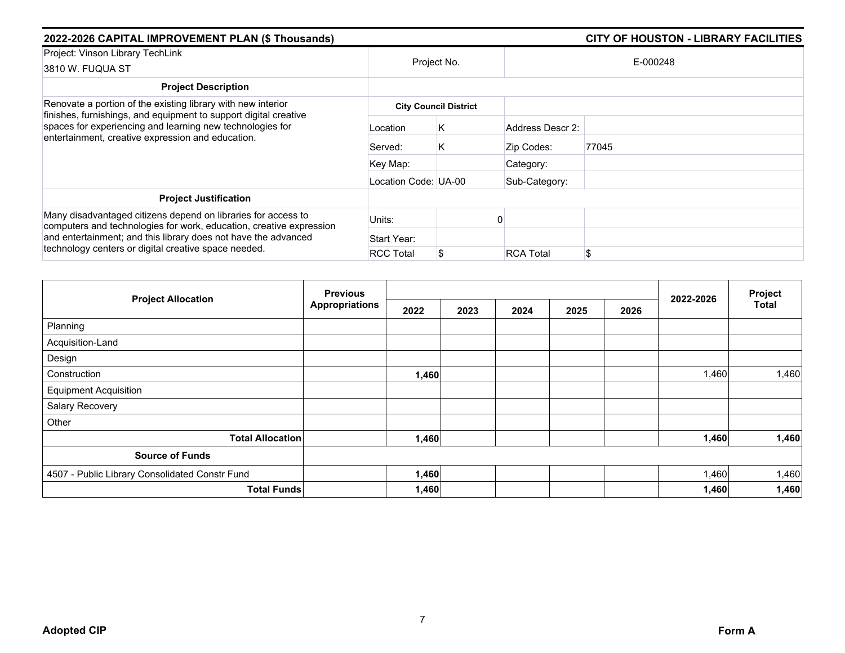| 2022-2026 CAPITAL IMPROVEMENT PLAN (\$ Thousands)                                                                                                                                                                                                              |                      |                              |                  | <b>CITY OF HOUSTON - LIBRARY FACILITIES</b> |  |  |
|----------------------------------------------------------------------------------------------------------------------------------------------------------------------------------------------------------------------------------------------------------------|----------------------|------------------------------|------------------|---------------------------------------------|--|--|
| Project: Vinson Library TechLink<br>3810 W. FUQUA ST                                                                                                                                                                                                           | Project No.          |                              | E-000248         |                                             |  |  |
| <b>Project Description</b>                                                                                                                                                                                                                                     |                      |                              |                  |                                             |  |  |
| Renovate a portion of the existing library with new interior<br>finishes, furnishings, and equipment to support digital creative<br>spaces for experiencing and learning new technologies for                                                                  |                      | <b>City Council District</b> |                  |                                             |  |  |
|                                                                                                                                                                                                                                                                | Location             | Κ                            | Address Descr 2: |                                             |  |  |
| entertainment, creative expression and education.                                                                                                                                                                                                              | ∶Served:             | K                            | Zip Codes:       | 77045                                       |  |  |
|                                                                                                                                                                                                                                                                | Key Map:             |                              | Category:        |                                             |  |  |
|                                                                                                                                                                                                                                                                | Location Code: UA-00 |                              | Sub-Category:    |                                             |  |  |
| <b>Project Justification</b>                                                                                                                                                                                                                                   |                      |                              |                  |                                             |  |  |
| Many disadvantaged citizens depend on libraries for access to<br>computers and technologies for work, education, creative expression<br>and entertainment; and this library does not have the advanced<br>technology centers or digital creative space needed. | Units:               |                              |                  |                                             |  |  |
|                                                                                                                                                                                                                                                                | Start Year:          |                              |                  |                                             |  |  |
|                                                                                                                                                                                                                                                                | <b>RCC Total</b>     | \$                           | <b>RCA Total</b> | \$                                          |  |  |

| <b>Project Allocation</b>                      | <b>Previous</b>       |       |      |      |      | Project |           |       |
|------------------------------------------------|-----------------------|-------|------|------|------|---------|-----------|-------|
|                                                | <b>Appropriations</b> | 2022  | 2023 | 2024 | 2025 | 2026    | 2022-2026 | Total |
| Planning                                       |                       |       |      |      |      |         |           |       |
| Acquisition-Land                               |                       |       |      |      |      |         |           |       |
| Design                                         |                       |       |      |      |      |         |           |       |
| Construction                                   |                       | 1,460 |      |      |      |         | 1,460     | 1,460 |
| <b>Equipment Acquisition</b>                   |                       |       |      |      |      |         |           |       |
| Salary Recovery                                |                       |       |      |      |      |         |           |       |
| Other                                          |                       |       |      |      |      |         |           |       |
| <b>Total Allocation</b>                        |                       | 1,460 |      |      |      |         | 1,460     | 1,460 |
| <b>Source of Funds</b>                         |                       |       |      |      |      |         |           |       |
| 4507 - Public Library Consolidated Constr Fund |                       | 1,460 |      |      |      |         | 1,460     | 1,460 |
| <b>Total Funds</b>                             |                       | 1,460 |      |      |      |         | 1,460     | 1,460 |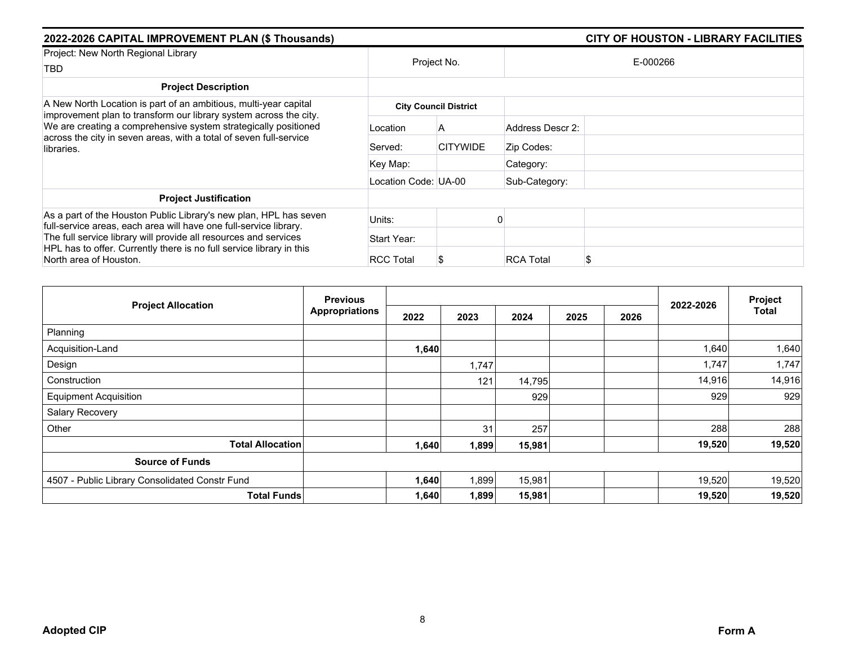| 2022-2026 CAPITAL IMPROVEMENT PLAN (\$ Thousands)                                                                                                                                                                                                                                                            |                      |                              |                  | <b>CITY OF HOUSTON - LIBRARY FACILITIES</b> |  |  |
|--------------------------------------------------------------------------------------------------------------------------------------------------------------------------------------------------------------------------------------------------------------------------------------------------------------|----------------------|------------------------------|------------------|---------------------------------------------|--|--|
| Project: New North Regional Library<br>TBD                                                                                                                                                                                                                                                                   | Project No.          |                              | E-000266         |                                             |  |  |
| <b>Project Description</b>                                                                                                                                                                                                                                                                                   |                      |                              |                  |                                             |  |  |
| A New North Location is part of an ambitious, multi-year capital<br>improvement plan to transform our library system across the city.<br>We are creating a comprehensive system strategically positioned<br>across the city in seven areas, with a total of seven full-service<br>libraries.                 |                      | <b>City Council District</b> |                  |                                             |  |  |
|                                                                                                                                                                                                                                                                                                              | Location             | A                            | Address Descr 2: |                                             |  |  |
|                                                                                                                                                                                                                                                                                                              | Served:              | <b>CITYWIDE</b>              | Zip Codes:       |                                             |  |  |
|                                                                                                                                                                                                                                                                                                              | Key Map:             |                              | Category:        |                                             |  |  |
|                                                                                                                                                                                                                                                                                                              | Location Code: UA-00 |                              | Sub-Category:    |                                             |  |  |
| <b>Project Justification</b>                                                                                                                                                                                                                                                                                 |                      |                              |                  |                                             |  |  |
| As a part of the Houston Public Library's new plan, HPL has seven<br>full-service areas, each area will have one full-service library.<br>The full service library will provide all resources and services<br>HPL has to offer. Currently there is no full service library in this<br>North area of Houston. | Units:               |                              |                  |                                             |  |  |
|                                                                                                                                                                                                                                                                                                              | Start Year:          |                              |                  |                                             |  |  |
|                                                                                                                                                                                                                                                                                                              | <b>RCC Total</b>     |                              | <b>RCA Total</b> | S                                           |  |  |

|                                                | <b>Previous</b>       |       |       |        | Project |      |           |        |
|------------------------------------------------|-----------------------|-------|-------|--------|---------|------|-----------|--------|
| <b>Project Allocation</b>                      | <b>Appropriations</b> | 2022  | 2023  | 2024   | 2025    | 2026 | 2022-2026 | Total  |
| Planning                                       |                       |       |       |        |         |      |           |        |
| Acquisition-Land                               |                       | 1,640 |       |        |         |      | 1,640     | 1,640  |
| Design                                         |                       |       | 1,747 |        |         |      | 1,747     | 1,747  |
| Construction                                   |                       |       | 121   | 14,795 |         |      | 14,916    | 14,916 |
| <b>Equipment Acquisition</b>                   |                       |       |       | 929    |         |      | 929       | 929    |
| Salary Recovery                                |                       |       |       |        |         |      |           |        |
| Other                                          |                       |       | 31    | 257    |         |      | 288       | 288    |
| <b>Total Allocation</b>                        |                       | 1,640 | 1,899 | 15,981 |         |      | 19,520    | 19,520 |
| <b>Source of Funds</b>                         |                       |       |       |        |         |      |           |        |
| 4507 - Public Library Consolidated Constr Fund |                       | 1,640 | 1,899 | 15,981 |         |      | 19,520    | 19,520 |
| <b>Total Funds</b>                             |                       | 1,640 | 1,899 | 15,981 |         |      | 19,520    | 19,520 |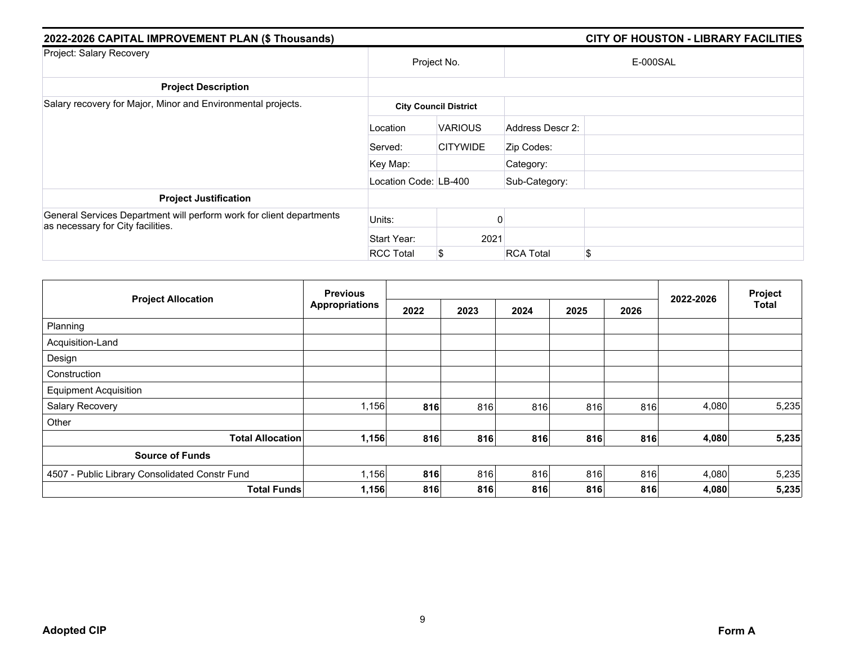| 2022-2026 CAPITAL IMPROVEMENT PLAN (\$ Thousands)                                                         |                       |                              |                  | <b>CITY OF HOUSTON - LIBRARY FACILITIES</b> |
|-----------------------------------------------------------------------------------------------------------|-----------------------|------------------------------|------------------|---------------------------------------------|
| Project: Salary Recovery                                                                                  | Project No.           |                              |                  | E-000SAL                                    |
| <b>Project Description</b>                                                                                |                       |                              |                  |                                             |
| Salary recovery for Major, Minor and Environmental projects.                                              |                       | <b>City Council District</b> |                  |                                             |
|                                                                                                           | Location              | <b>VARIOUS</b>               | Address Descr 2: |                                             |
|                                                                                                           | Served:               | <b>CITYWIDE</b>              | Zip Codes:       |                                             |
|                                                                                                           | Key Map:              |                              | Category:        |                                             |
|                                                                                                           | Location Code: LB-400 |                              | Sub-Category:    |                                             |
| <b>Project Justification</b>                                                                              |                       |                              |                  |                                             |
| General Services Department will perform work for client departments<br>as necessary for City facilities. | Units:                |                              |                  |                                             |
|                                                                                                           | Start Year:           | 2021                         |                  |                                             |
|                                                                                                           | <b>RCC Total</b>      | \$                           | <b>RCA Total</b> | \$                                          |

|                                                | <b>Previous</b>       |      |      |      | Project |      |           |              |
|------------------------------------------------|-----------------------|------|------|------|---------|------|-----------|--------------|
| <b>Project Allocation</b>                      | <b>Appropriations</b> | 2022 | 2023 | 2024 | 2025    | 2026 | 2022-2026 | <b>Total</b> |
| Planning                                       |                       |      |      |      |         |      |           |              |
| Acquisition-Land                               |                       |      |      |      |         |      |           |              |
| Design                                         |                       |      |      |      |         |      |           |              |
| Construction                                   |                       |      |      |      |         |      |           |              |
| <b>Equipment Acquisition</b>                   |                       |      |      |      |         |      |           |              |
| Salary Recovery                                | 1,156                 | 816  | 816  | 816  | 816     | 816  | 4,080     | 5,235        |
| Other                                          |                       |      |      |      |         |      |           |              |
| <b>Total Allocation</b>                        | 1,156                 | 816  | 816  | 816  | 816     | 816  | 4,080     | 5,235        |
| <b>Source of Funds</b>                         |                       |      |      |      |         |      |           |              |
| 4507 - Public Library Consolidated Constr Fund | 1,156                 | 816  | 816  | 816  | 816     | 816  | 4,080     | 5,235        |
| <b>Total Funds</b>                             | 1,156                 | 816  | 816  | 816  | 816     | 816  | 4,080     | 5,235        |